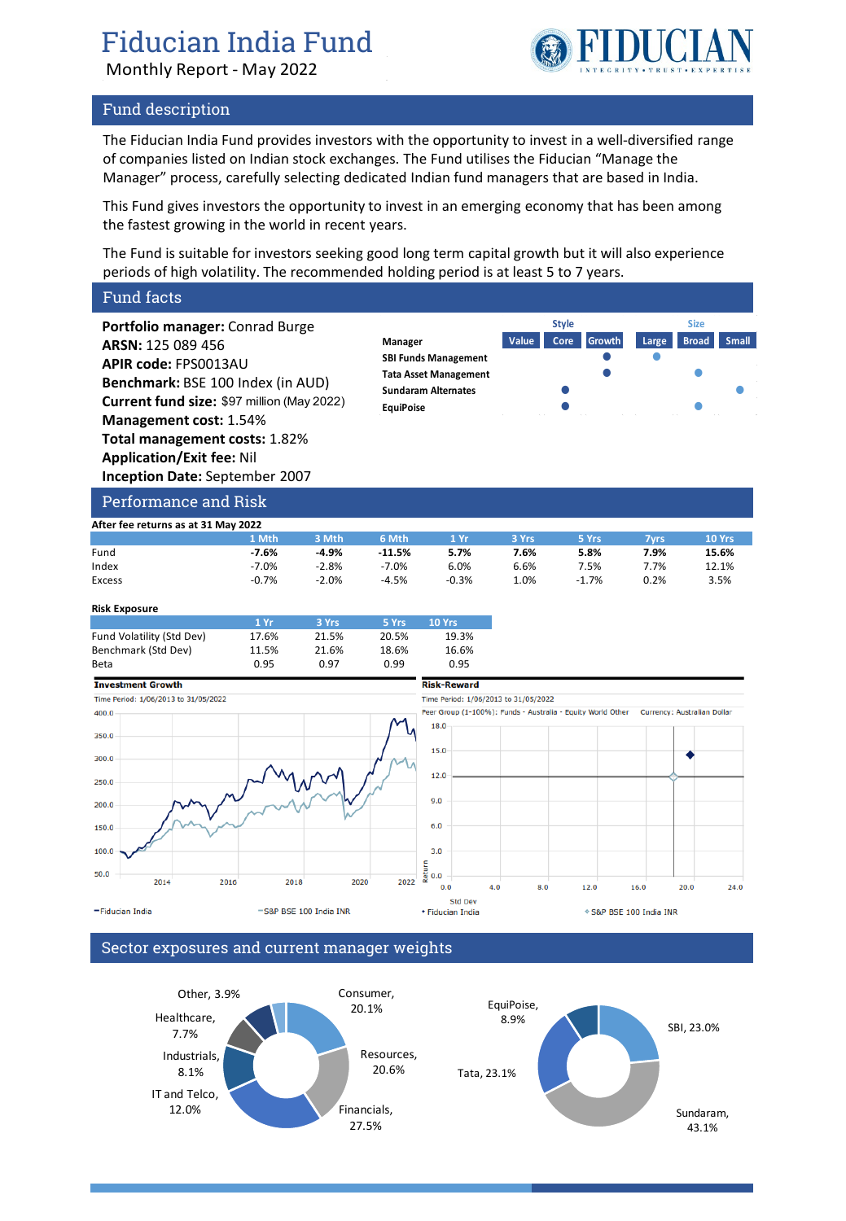# Fiducian India Fund

Monthly Report - May 2022

# Fund description

The Fiducian India Fund provides investors with the opportunity to invest in a well-diversified range of companies listed on Indian stock exchanges. The Fund utilises the Fiducian "Manage the Manager" process, carefully selecting dedicated Indian fund managers that are based in India.

This Fund gives investors the opportunity to invest in an emerging economy that has been among the fastest growing in the world in recent years.

The Fund is suitable for investors seeking good long term capital growth but it will also experience periods of high volatility. The recommended holding period is at least 5 to 7 years.

# Fund facts

**Portfolio manager:** Conrad Burge **ARSN:** 125 089 456 **APIR code:** FPS0013AU **Benchmark:** BSE 100 Index (in AUD) **Current fund size:** \$97 million (May 2022) **Management cost:** 1.54% **Total management costs:** 1.82% **Application/Exit fee:** Nil **Inception Date:** September 2007



### Performance and Risk

| After fee returns as at 31 May 2022 |         |         |           |         |       |         |      |        |
|-------------------------------------|---------|---------|-----------|---------|-------|---------|------|--------|
|                                     | 1 Mth   | 3 Mth   | 6 Mth     | 1 Yr    | 3 Yrs | 5 Yrs   | 7vrs | 10 Yrs |
| Fund                                | $-7.6%$ | $-4.9%$ | $-11.5\%$ | 5.7%    | 7.6%  | 5.8%    | 7.9% | 15.6%  |
| Index                               | $-7.0%$ | $-2.8%$ | $-7.0%$   | 6.0%    | 6.6%  | 7.5%    | 7.7% | 12.1%  |
| Excess                              | $-0.7%$ | $-2.0%$ | $-4.5%$   | $-0.3%$ | 0%    | $-1.7%$ | 0.2% | 3.5%   |

#### **Risk Exposure**

|                           | 1 Yr  | 3 Yrs | 5 Yrs | <b>10 Yrs</b> |
|---------------------------|-------|-------|-------|---------------|
| Fund Volatility (Std Dev) | 17.6% | 21.5% | 20.5% | 19.3%         |
| Benchmark (Std Dev)       | 11.5% | 21.6% | 18.6% | 16.6%         |
| Beta                      | 0.95  | 0.97  | 0.99  | 0.95          |



# Sector exposures and current manager weights